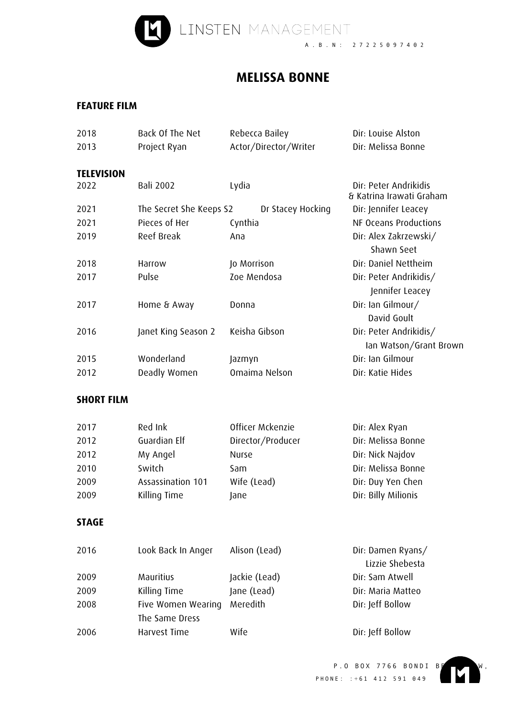

## **MELISSA BONNE**

## **FEATURE FILM**

| 2018              | Back Of The Net         | Rebecca Bailey        | Dir: Louise Alston                                |
|-------------------|-------------------------|-----------------------|---------------------------------------------------|
| 2013              | Project Ryan            | Actor/Director/Writer | Dir: Melissa Bonne                                |
|                   |                         |                       |                                                   |
| <b>TELEVISION</b> |                         |                       |                                                   |
| 2022              | <b>Bali 2002</b>        | Lydia                 | Dir: Peter Andrikidis<br>& Katrina Irawati Graham |
| 2021              | The Secret She Keeps S2 | Dr Stacey Hocking     | Dir: Jennifer Leacey                              |
| 2021              | Pieces of Her           | Cynthia               | NF Oceans Productions                             |
| 2019              | Reef Break              | Ana                   | Dir: Alex Zakrzewski/                             |
|                   |                         |                       | Shawn Seet                                        |
| 2018              | Harrow                  | Jo Morrison           | Dir: Daniel Nettheim                              |
| 2017              | Pulse                   | Zoe Mendosa           | Dir: Peter Andrikidis/                            |
|                   |                         |                       | Jennifer Leacey                                   |
| 2017              | Home & Away             | Donna                 | Dir: Ian Gilmour/                                 |
|                   |                         |                       | David Goult                                       |
| 2016              | Janet King Season 2     | Keisha Gibson         | Dir: Peter Andrikidis/                            |
|                   |                         |                       | lan Watson/Grant Brown                            |
| 2015              | Wonderland              | Jazmyn                | Dir: Ian Gilmour                                  |
| 2012              | Deadly Women            | Omaima Nelson         | Dir: Katie Hides                                  |
|                   |                         |                       |                                                   |
| <b>SHORT FILM</b> |                         |                       |                                                   |
|                   |                         |                       |                                                   |
| 2017              | Red Ink                 | Officer Mckenzie      | Dir: Alex Ryan                                    |
| 2012              | Guardian Elf            | Director/Producer     | Dir: Melissa Bonne                                |
| 2012              | My Angel                | Nurse                 | Dir: Nick Najdov                                  |
| 2010              | Switch                  | Sam                   | Dir: Melissa Bonne                                |
| 2009              | Assassination 101       | Wife (Lead)           | Dir: Duy Yen Chen                                 |
| 2009              | Killing Time            | Jane                  | Dir: Billy Milionis                               |
|                   |                         |                       |                                                   |
| <b>STAGE</b>      |                         |                       |                                                   |
|                   |                         |                       |                                                   |
| 2016              | Look Back In Anger      | Alison (Lead)         | Dir: Damen Ryans/                                 |
|                   |                         |                       | Lizzie Shebesta                                   |
| 2009              | Mauritius               | Jackie (Lead)         | Dir: Sam Atwell                                   |
| 2009              | Killing Time            | Jane (Lead)           | Dir: Maria Matteo                                 |
| 2008              | Five Women Wearing      | Meredith              | Dir: Jeff Bollow                                  |
|                   | The Same Dress          |                       |                                                   |
| 2006              | Harvest Time            | Wife                  | Dir: Jeff Bollow                                  |